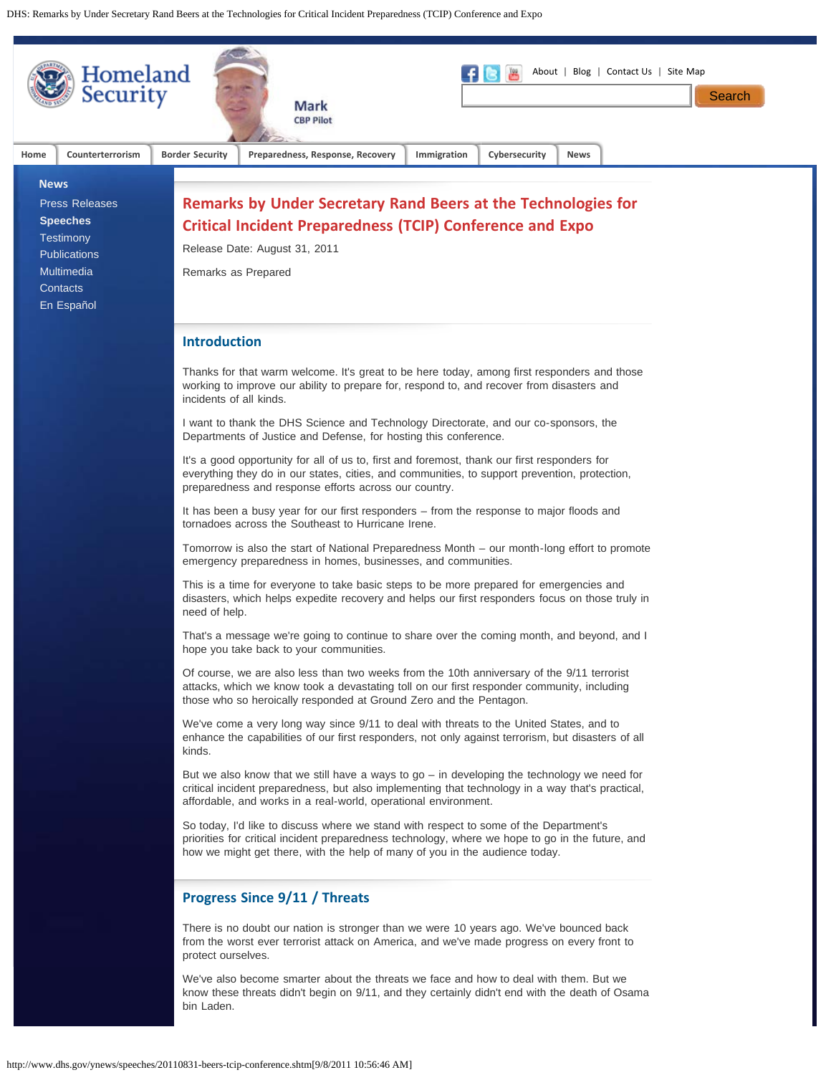DHS: Remarks by Under Secretary Rand Beers at the Technologies for Critical Incident Preparedness (TCIP) Conference and Expo

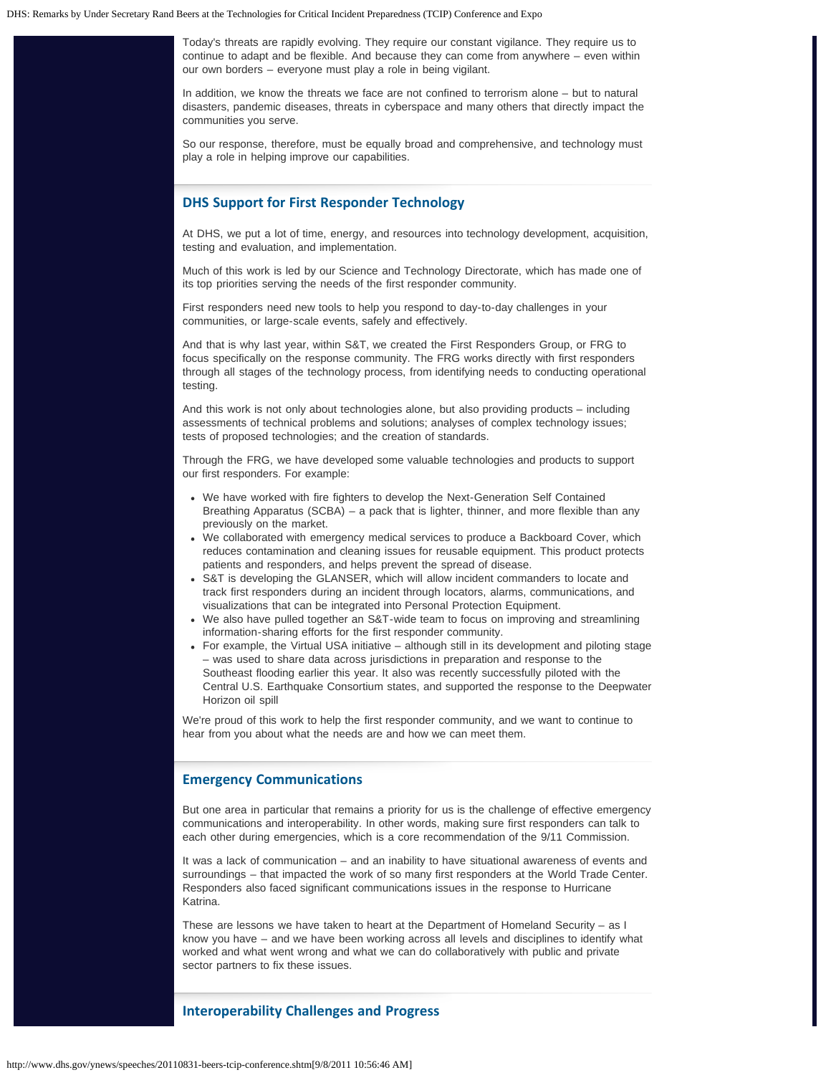Today's threats are rapidly evolving. They require our constant vigilance. They require us to continue to adapt and be flexible. And because they can come from anywhere – even within our own borders – everyone must play a role in being vigilant.

In addition, we know the threats we face are not confined to terrorism alone – but to natural disasters, pandemic diseases, threats in cyberspace and many others that directly impact the communities you serve.

So our response, therefore, must be equally broad and comprehensive, and technology must play a role in helping improve our capabilities.

#### **DHS Support for First Responder Technology**

At DHS, we put a lot of time, energy, and resources into technology development, acquisition, testing and evaluation, and implementation.

Much of this work is led by our Science and Technology Directorate, which has made one of its top priorities serving the needs of the first responder community.

First responders need new tools to help you respond to day-to-day challenges in your communities, or large-scale events, safely and effectively.

And that is why last year, within S&T, we created the First Responders Group, or FRG to focus specifically on the response community. The FRG works directly with first responders through all stages of the technology process, from identifying needs to conducting operational testing.

And this work is not only about technologies alone, but also providing products – including assessments of technical problems and solutions; analyses of complex technology issues; tests of proposed technologies; and the creation of standards.

Through the FRG, we have developed some valuable technologies and products to support our first responders. For example:

- We have worked with fire fighters to develop the Next-Generation Self Contained Breathing Apparatus (SCBA) – a pack that is lighter, thinner, and more flexible than any previously on the market.
- We collaborated with emergency medical services to produce a Backboard Cover, which reduces contamination and cleaning issues for reusable equipment. This product protects patients and responders, and helps prevent the spread of disease.
- S&T is developing the GLANSER, which will allow incident commanders to locate and track first responders during an incident through locators, alarms, communications, and visualizations that can be integrated into Personal Protection Equipment.
- We also have pulled together an S&T-wide team to focus on improving and streamlining information-sharing efforts for the first responder community.
- For example, the Virtual USA initiative although still in its development and piloting stage – was used to share data across jurisdictions in preparation and response to the Southeast flooding earlier this year. It also was recently successfully piloted with the Central U.S. Earthquake Consortium states, and supported the response to the Deepwater Horizon oil spill

We're proud of this work to help the first responder community, and we want to continue to hear from you about what the needs are and how we can meet them.

# **Emergency Communications**

But one area in particular that remains a priority for us is the challenge of effective emergency communications and interoperability. In other words, making sure first responders can talk to each other during emergencies, which is a core recommendation of the 9/11 Commission.

It was a lack of communication – and an inability to have situational awareness of events and surroundings – that impacted the work of so many first responders at the World Trade Center. Responders also faced significant communications issues in the response to Hurricane Katrina.

These are lessons we have taken to heart at the Department of Homeland Security – as I know you have – and we have been working across all levels and disciplines to identify what worked and what went wrong and what we can do collaboratively with public and private sector partners to fix these issues.

# **Interoperability Challenges and Progress**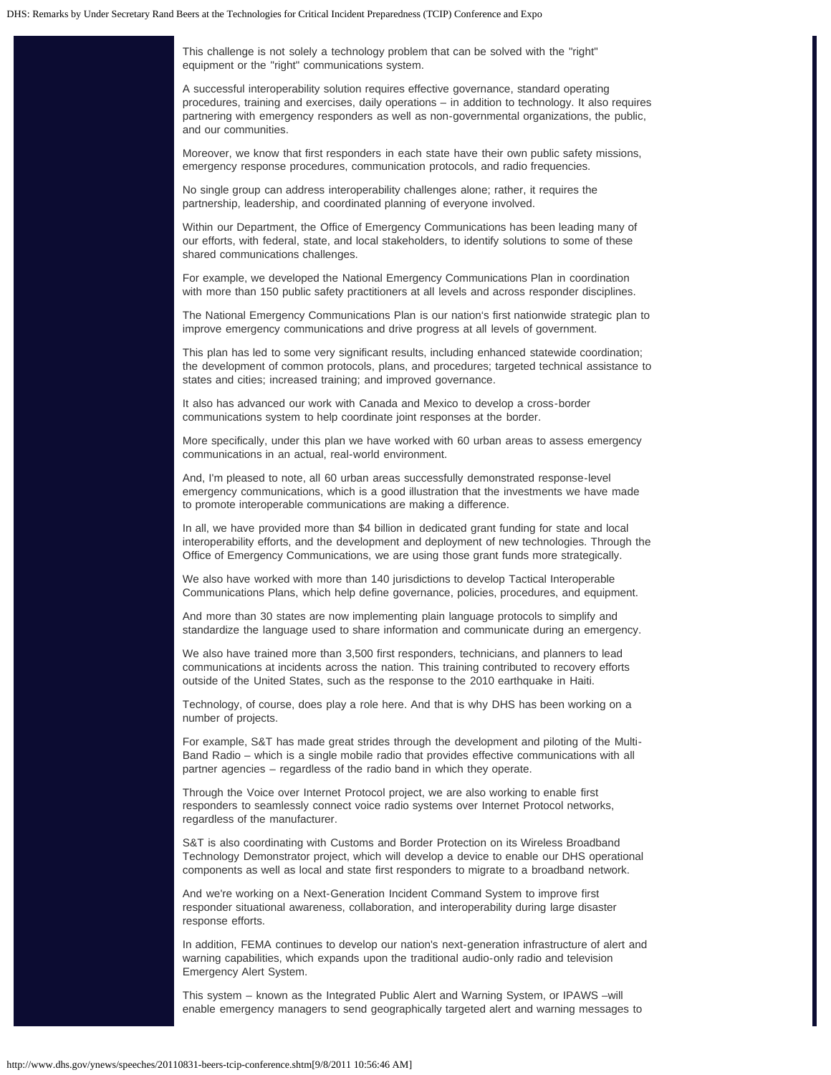This challenge is not solely a technology problem that can be solved with the "right" equipment or the "right" communications system.

A successful interoperability solution requires effective governance, standard operating procedures, training and exercises, daily operations – in addition to technology. It also requires partnering with emergency responders as well as non-governmental organizations, the public, and our communities.

Moreover, we know that first responders in each state have their own public safety missions, emergency response procedures, communication protocols, and radio frequencies.

No single group can address interoperability challenges alone; rather, it requires the partnership, leadership, and coordinated planning of everyone involved.

Within our Department, the Office of Emergency Communications has been leading many of our efforts, with federal, state, and local stakeholders, to identify solutions to some of these shared communications challenges.

For example, we developed the National Emergency Communications Plan in coordination with more than 150 public safety practitioners at all levels and across responder disciplines.

The National Emergency Communications Plan is our nation's first nationwide strategic plan to improve emergency communications and drive progress at all levels of government.

This plan has led to some very significant results, including enhanced statewide coordination; the development of common protocols, plans, and procedures; targeted technical assistance to states and cities; increased training; and improved governance.

It also has advanced our work with Canada and Mexico to develop a cross-border communications system to help coordinate joint responses at the border.

More specifically, under this plan we have worked with 60 urban areas to assess emergency communications in an actual, real-world environment.

And, I'm pleased to note, all 60 urban areas successfully demonstrated response-level emergency communications, which is a good illustration that the investments we have made to promote interoperable communications are making a difference.

In all, we have provided more than \$4 billion in dedicated grant funding for state and local interoperability efforts, and the development and deployment of new technologies. Through the Office of Emergency Communications, we are using those grant funds more strategically.

We also have worked with more than 140 jurisdictions to develop Tactical Interoperable Communications Plans, which help define governance, policies, procedures, and equipment.

And more than 30 states are now implementing plain language protocols to simplify and standardize the language used to share information and communicate during an emergency.

We also have trained more than 3,500 first responders, technicians, and planners to lead communications at incidents across the nation. This training contributed to recovery efforts outside of the United States, such as the response to the 2010 earthquake in Haiti.

Technology, of course, does play a role here. And that is why DHS has been working on a number of projects.

For example, S&T has made great strides through the development and piloting of the Multi-Band Radio – which is a single mobile radio that provides effective communications with all partner agencies – regardless of the radio band in which they operate.

Through the Voice over Internet Protocol project, we are also working to enable first responders to seamlessly connect voice radio systems over Internet Protocol networks, regardless of the manufacturer.

S&T is also coordinating with Customs and Border Protection on its Wireless Broadband Technology Demonstrator project, which will develop a device to enable our DHS operational components as well as local and state first responders to migrate to a broadband network.

And we're working on a Next-Generation Incident Command System to improve first responder situational awareness, collaboration, and interoperability during large disaster response efforts.

In addition, FEMA continues to develop our nation's next-generation infrastructure of alert and warning capabilities, which expands upon the traditional audio-only radio and television Emergency Alert System.

This system – known as the Integrated Public Alert and Warning System, or IPAWS –will enable emergency managers to send geographically targeted alert and warning messages to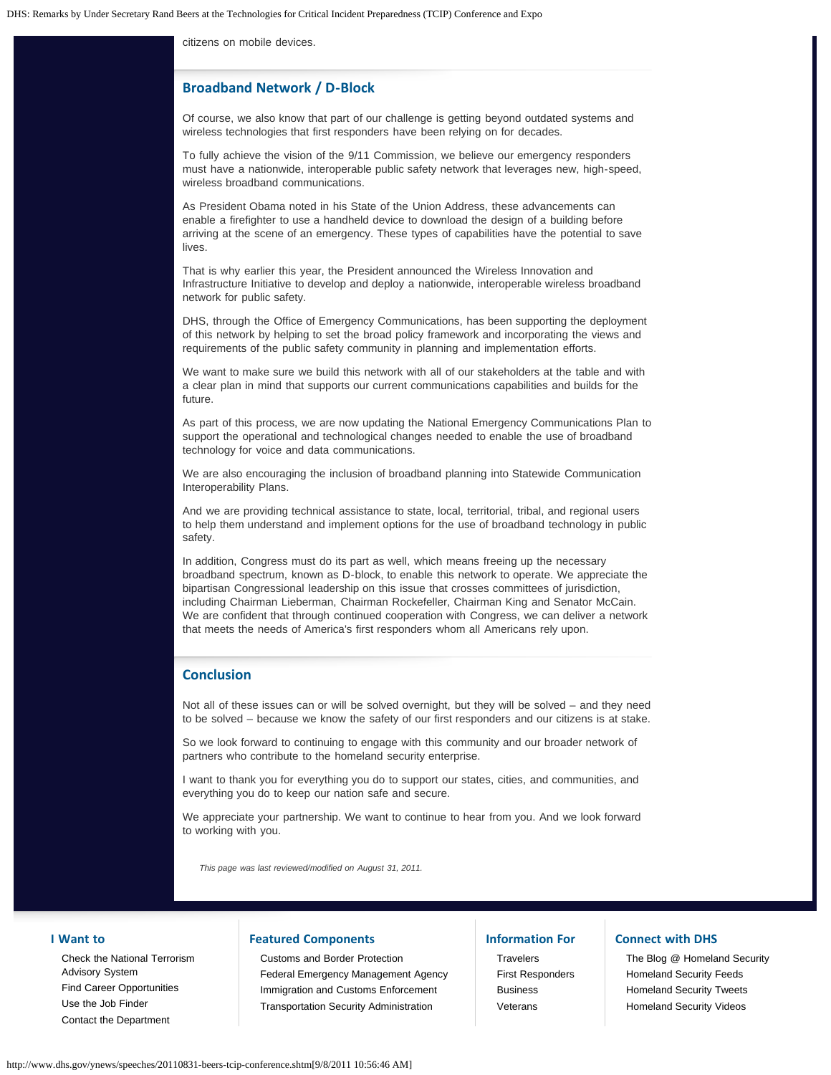citizens on mobile devices.

### **Broadband Network / D-Block**

Of course, we also know that part of our challenge is getting beyond outdated systems and wireless technologies that first responders have been relying on for decades.

To fully achieve the vision of the 9/11 Commission, we believe our emergency responders must have a nationwide, interoperable public safety network that leverages new, high-speed, wireless broadband communications.

As President Obama noted in his State of the Union Address, these advancements can enable a firefighter to use a handheld device to download the design of a building before arriving at the scene of an emergency. These types of capabilities have the potential to save lives.

That is why earlier this year, the President announced the Wireless Innovation and Infrastructure Initiative to develop and deploy a nationwide, interoperable wireless broadband network for public safety.

DHS, through the Office of Emergency Communications, has been supporting the deployment of this network by helping to set the broad policy framework and incorporating the views and requirements of the public safety community in planning and implementation efforts.

We want to make sure we build this network with all of our stakeholders at the table and with a clear plan in mind that supports our current communications capabilities and builds for the future.

As part of this process, we are now updating the National Emergency Communications Plan to support the operational and technological changes needed to enable the use of broadband technology for voice and data communications.

We are also encouraging the inclusion of broadband planning into Statewide Communication Interoperability Plans.

And we are providing technical assistance to state, local, territorial, tribal, and regional users to help them understand and implement options for the use of broadband technology in public safety.

In addition, Congress must do its part as well, which means freeing up the necessary broadband spectrum, known as D-block, to enable this network to operate. We appreciate the bipartisan Congressional leadership on this issue that crosses committees of jurisdiction, including Chairman Lieberman, Chairman Rockefeller, Chairman King and Senator McCain. We are confident that through continued cooperation with Congress, we can deliver a network that meets the needs of America's first responders whom all Americans rely upon.

### **Conclusion**

Not all of these issues can or will be solved overnight, but they will be solved – and they need to be solved – because we know the safety of our first responders and our citizens is at stake.

So we look forward to continuing to engage with this community and our broader network of partners who contribute to the homeland security enterprise.

I want to thank you for everything you do to support our states, cities, and communities, and everything you do to keep our nation safe and secure.

We appreciate your partnership. We want to continue to hear from you. And we look forward to working with you.

*This page was last reviewed/modified on August 31, 2011.*

#### **I Want to**

[Check the National Terrorism](http://www.dhs.gov/files/programs/ntas.shtm) [Advisory System](http://www.dhs.gov/files/programs/ntas.shtm) [Find Career Opportunities](http://www.dhs.gov/xabout/careers/content_multi_image_0014.shtm) [Use the Job Finder](http://www.dhs.gov/xabout/careers/jobfinder.shtm) [Contact the Department](http://www.dhs.gov/xutil/contactus.shtm)

# **Featured Components**

[Customs and Border Protection](http://cbp.gov/) [Federal Emergency Management Agency](http://www.fema.gov/) [Immigration and Customs Enforcement](http://www.ice.gov/) [Transportation Security Administration](http://www.tsa.gov/)

### **Information For**

**[Travelers](http://www.dhs.gov/files/travelers.shtm)** [First Responders](http://www.dhs.gov/xfrstresp/) [Business](http://www.dhs.gov/xbsnss/) [Veterans](http://www.dhs.gov/xcitizens/veterans.shtm)

# **Connect with DHS**

[The Blog @ Homeland Security](http://blog.dhs.gov/) [Homeland Security Feeds](http://www.dhs.gov/xutil/feeds.shtm) [Homeland Security Tweets](http://www.twitter.com/dhsjournal/) [Homeland Security Videos](http://youtube.com/ushomelandsecurity)